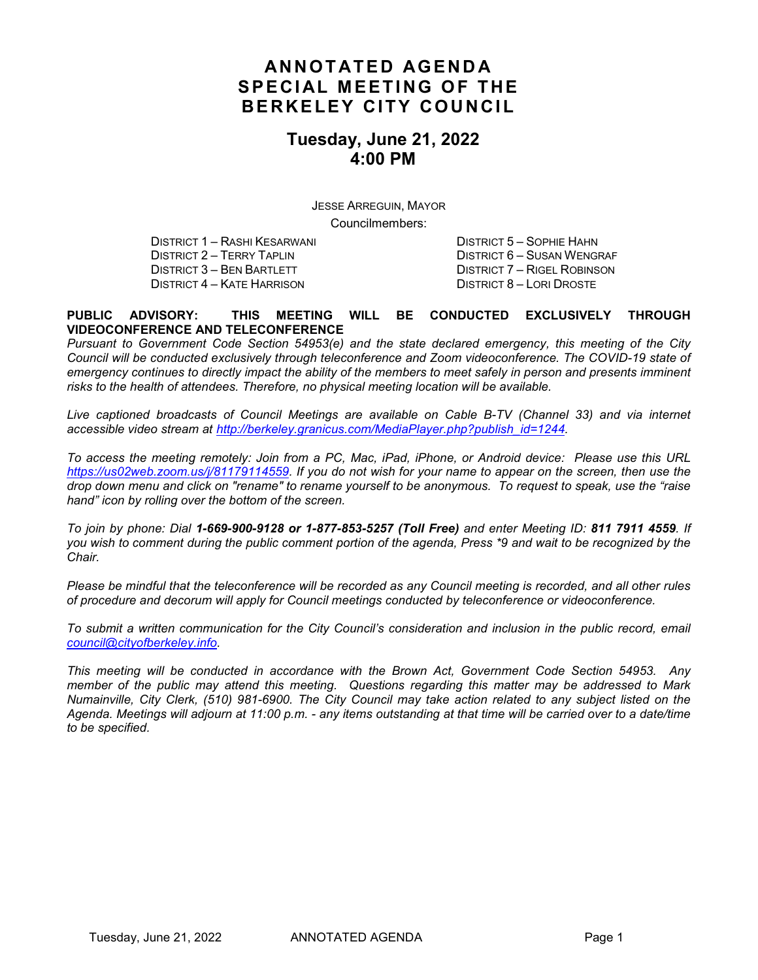## **ANNOTATED AGENDA SPECIAL MEETING OF THE BERKELEY CITY COUNCIL**

## **Tuesday, June 21, 2022 4:00 PM**

JESSE ARREGUIN, MAYOR Councilmembers:

DISTRICT 1 – RASHI KESARWANI DISTRICT 5 – SOPHIE HAHN DISTRICT 2 – TERRY TAPLIN DISTRICT 6 – SUSAN WENGRAF DISTRICT 6 – SUSAN WENGRAF DISTRICT 7 – RIGEL ROBINSON DISTRICT 3 – BEN BARTLETT DISTRICT 4 – KATE HARRISON DISTRICT 8 – LORI DROSTE

#### **PUBLIC ADVISORY: THIS MEETING WILL BE CONDUCTED EXCLUSIVELY THROUGH VIDEOCONFERENCE AND TELECONFERENCE**

*Pursuant to Government Code Section 54953(e) and the state declared emergency, this meeting of the City Council will be conducted exclusively through teleconference and Zoom videoconference. The COVID-19 state of emergency continues to directly impact the ability of the members to meet safely in person and presents imminent risks to the health of attendees. Therefore, no physical meeting location will be available.*

*Live captioned broadcasts of Council Meetings are available on Cable B-TV (Channel 33) and via internet accessible video stream at [http://berkeley.granicus.com/MediaPlayer.php?publish\\_id=1244.](http://berkeley.granicus.com/MediaPlayer.php?publish_id=1244)* 

*To access the meeting remotely: Join from a PC, Mac, iPad, iPhone, or Android device: Please use this URL [https://us02web.zoom.us/j/81179114559.](https://us02web.zoom.us/j/81179114559) If you do not wish for your name to appear on the screen, then use the drop down menu and click on "rename" to rename yourself to be anonymous. To request to speak, use the "raise hand" icon by rolling over the bottom of the screen.* 

*To join by phone: Dial 1-669-900-9128 or 1-877-853-5257 (Toll Free) and enter Meeting ID: 811 7911 4559. If you wish to comment during the public comment portion of the agenda, Press \*9 and wait to be recognized by the Chair.* 

*Please be mindful that the teleconference will be recorded as any Council meeting is recorded, and all other rules of procedure and decorum will apply for Council meetings conducted by teleconference or videoconference.*

*To submit a written communication for the City Council's consideration and inclusion in the public record, email [council@cityofberkeley.info.](mailto:council@cityofberkeley.info)* 

*This meeting will be conducted in accordance with the Brown Act, Government Code Section 54953. Any member of the public may attend this meeting. Questions regarding this matter may be addressed to Mark Numainville, City Clerk, (510) 981-6900. The City Council may take action related to any subject listed on the Agenda. Meetings will adjourn at 11:00 p.m. - any items outstanding at that time will be carried over to a date/time to be specified.*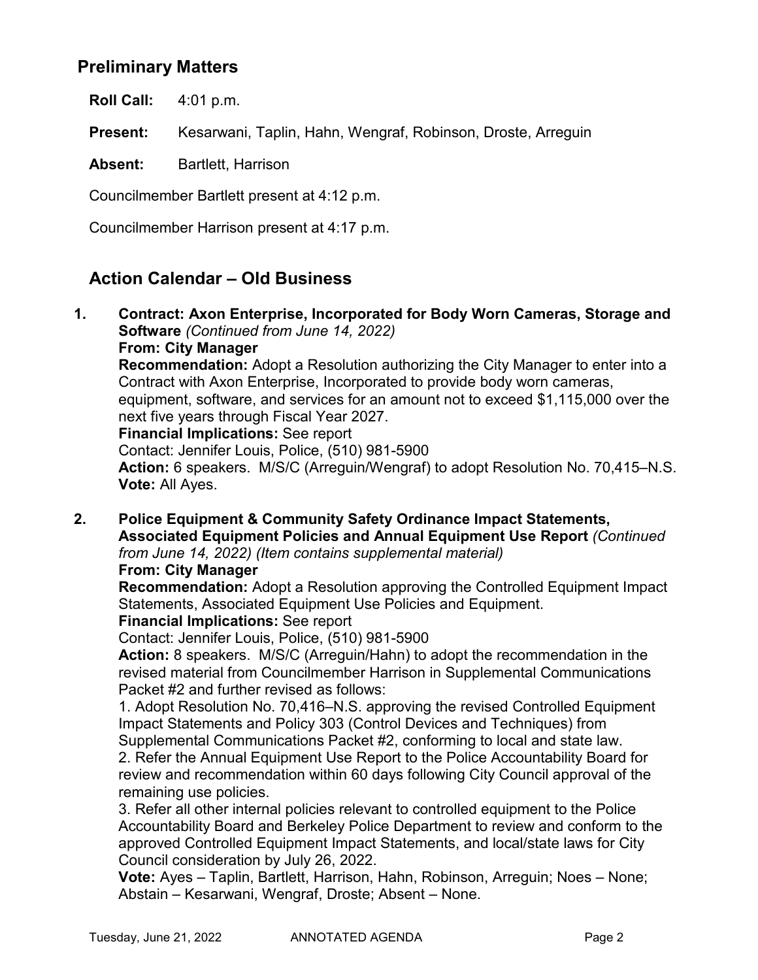## **Preliminary Matters**

**Roll Call:** 4:01 p.m.

**Present:** Kesarwani, Taplin, Hahn, Wengraf, Robinson, Droste, Arreguin

**Absent:** Bartlett, Harrison

Councilmember Bartlett present at 4:12 p.m.

Councilmember Harrison present at 4:17 p.m.

## **Action Calendar – Old Business**

**1. Contract: Axon Enterprise, Incorporated for Body Worn Cameras, Storage and Software** *(Continued from June 14, 2022)*

**From: City Manager**

**Recommendation:** Adopt a Resolution authorizing the City Manager to enter into a Contract with Axon Enterprise, Incorporated to provide body worn cameras,

equipment, software, and services for an amount not to exceed \$1,115,000 over the next five years through Fiscal Year 2027.

**Financial Implications:** See report

Contact: Jennifer Louis, Police, (510) 981-5900

**Action:** 6 speakers. M/S/C (Arreguin/Wengraf) to adopt Resolution No. 70,415–N.S. **Vote:** All Ayes.

**2. Police Equipment & Community Safety Ordinance Impact Statements, Associated Equipment Policies and Annual Equipment Use Report** *(Continued from June 14, 2022) (Item contains supplemental material)*

#### **From: City Manager**

**Recommendation:** Adopt a Resolution approving the Controlled Equipment Impact Statements, Associated Equipment Use Policies and Equipment.

#### **Financial Implications:** See report

Contact: Jennifer Louis, Police, (510) 981-5900

**Action:** 8 speakers. M/S/C (Arreguin/Hahn) to adopt the recommendation in the revised material from Councilmember Harrison in Supplemental Communications Packet #2 and further revised as follows:

1. Adopt Resolution No. 70,416–N.S. approving the revised Controlled Equipment Impact Statements and Policy 303 (Control Devices and Techniques) from Supplemental Communications Packet #2, conforming to local and state law.

2. Refer the Annual Equipment Use Report to the Police Accountability Board for review and recommendation within 60 days following City Council approval of the remaining use policies.

3. Refer all other internal policies relevant to controlled equipment to the Police Accountability Board and Berkeley Police Department to review and conform to the approved Controlled Equipment Impact Statements, and local/state laws for City Council consideration by July 26, 2022.

**Vote:** Ayes – Taplin, Bartlett, Harrison, Hahn, Robinson, Arreguin; Noes – None; Abstain – Kesarwani, Wengraf, Droste; Absent – None.